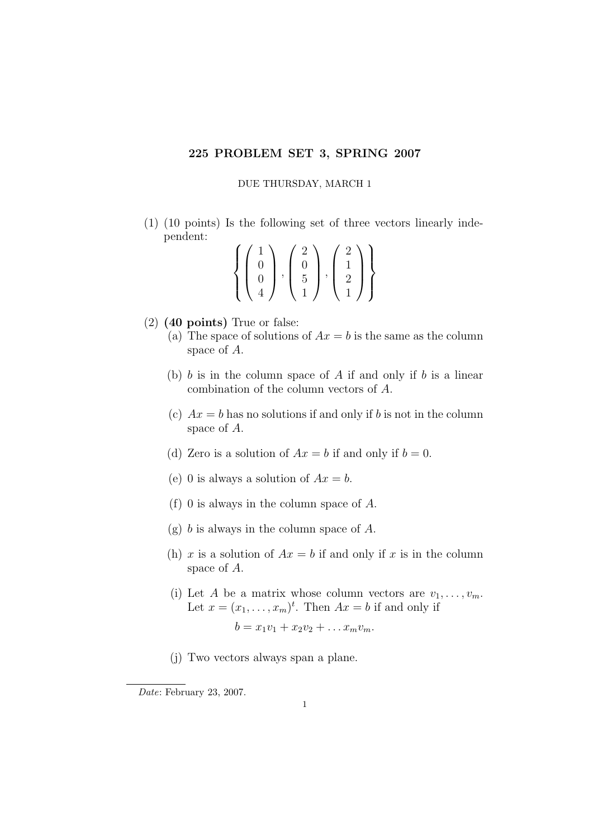## 225 PROBLEM SET 3, SPRING 2007

## DUE THURSDAY, MARCH 1

(1) (10 points) Is the following set of three vectors linearly independent:

$$
\left\{ \begin{pmatrix} 1 \\ 0 \\ 0 \\ 4 \end{pmatrix}, \begin{pmatrix} 2 \\ 0 \\ 5 \\ 1 \end{pmatrix}, \begin{pmatrix} 2 \\ 1 \\ 2 \\ 1 \end{pmatrix} \right\}
$$

- (2) (40 points) True or false:
	- (a) The space of solutions of  $Ax = b$  is the same as the column space of A.
	- (b)  $b$  is in the column space of  $A$  if and only if  $b$  is a linear combination of the column vectors of A.
	- (c)  $Ax = b$  has no solutions if and only if b is not in the column space of A.
	- (d) Zero is a solution of  $Ax = b$  if and only if  $b = 0$ .
	- (e) 0 is always a solution of  $Ax = b$ .
	- (f) 0 is always in the column space of A.
	- $(g)$  b is always in the column space of A.
	- (h) x is a solution of  $Ax = b$  if and only if x is in the column space of A.
	- (i) Let A be a matrix whose column vectors are  $v_1, \ldots, v_m$ . Let  $x = (x_1, \ldots, x_m)^t$ . Then  $Ax = b$  if and only if  $b = x_1v_1 + x_2v_2 + \ldots x_mv_m.$
	- (j) Two vectors always span a plane.

Date: February 23, 2007.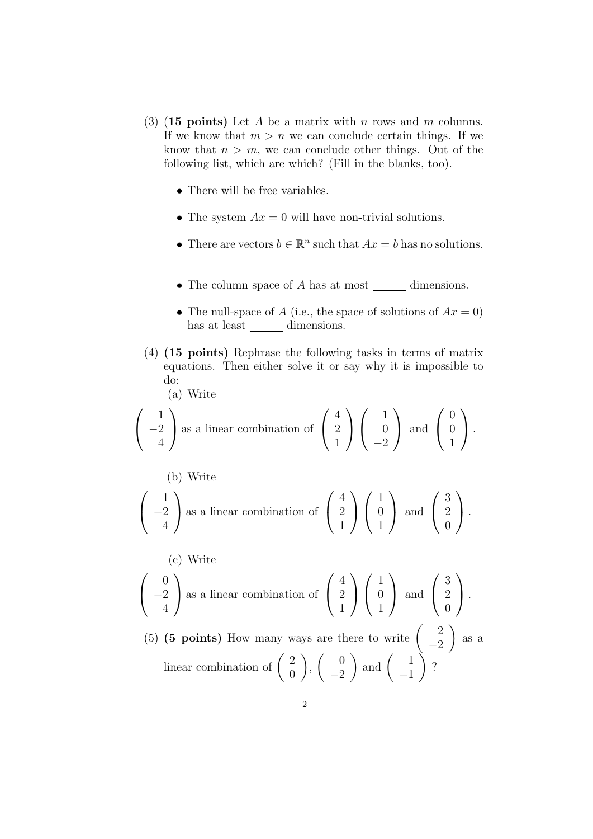- (3) (15 points) Let A be a matrix with n rows and m columns. If we know that  $m > n$  we can conclude certain things. If we know that  $n > m$ , we can conclude other things. Out of the following list, which are which? (Fill in the blanks, too).
	- There will be free variables.
	- The system  $Ax = 0$  will have non-trivial solutions.
	- There are vectors  $b \in \mathbb{R}^n$  such that  $Ax = b$  has no solutions.
	- The column space of  $A$  has at most  $\_\_\_\_\$  dimensions.
	- The null-space of A (i.e., the space of solutions of  $Ax = 0$ ) has at least \_\_\_\_\_\_\_ dimensions.
- (4) (15 points) Rephrase the following tasks in terms of matrix equations. Then either solve it or say why it is impossible to do:

$$
\begin{array}{c}\n(a) & \text{Write}\n\end{array}
$$

$$
\left(\begin{array}{c}1\\-2\\4\end{array}\right)
$$
 as a linear combination of 
$$
\left(\begin{array}{c}4\\2\\1\end{array}\right)\left(\begin{array}{c}1\\0\\-2\end{array}\right)
$$
 and 
$$
\left(\begin{array}{c}0\\0\\1\end{array}\right).
$$

(b) Write  
\n
$$
\begin{pmatrix} 1 \\ -2 \\ 4 \end{pmatrix}
$$
 as a linear combination of  $\begin{pmatrix} 4 \\ 2 \\ 1 \end{pmatrix} \begin{pmatrix} 1 \\ 0 \\ 1 \end{pmatrix}$  and  $\begin{pmatrix} 3 \\ 2 \\ 0 \end{pmatrix}$ .

(c) Write

$$
\left(\begin{array}{c}0\\-2\\4\end{array}\right)
$$
 as a linear combination of 
$$
\left(\begin{array}{c}4\\2\\1\end{array}\right)\left(\begin{array}{c}1\\0\\1\end{array}\right)
$$
 and 
$$
\left(\begin{array}{c}3\\2\\0\end{array}\right).
$$

(5) (5 points) How many ways are there to write  $\begin{pmatrix} 2 \\ 2 \end{pmatrix}$  $-2$  $\setminus$ as a linear combination of  $\begin{pmatrix} 2 \\ 0 \end{pmatrix}$ 0  $\setminus$ ,  $\begin{pmatrix} 0 \\ 0 \end{pmatrix}$ −2  $\Big)$  and  $\Big($   $\frac{1}{1}$ −1  $\setminus$ ?